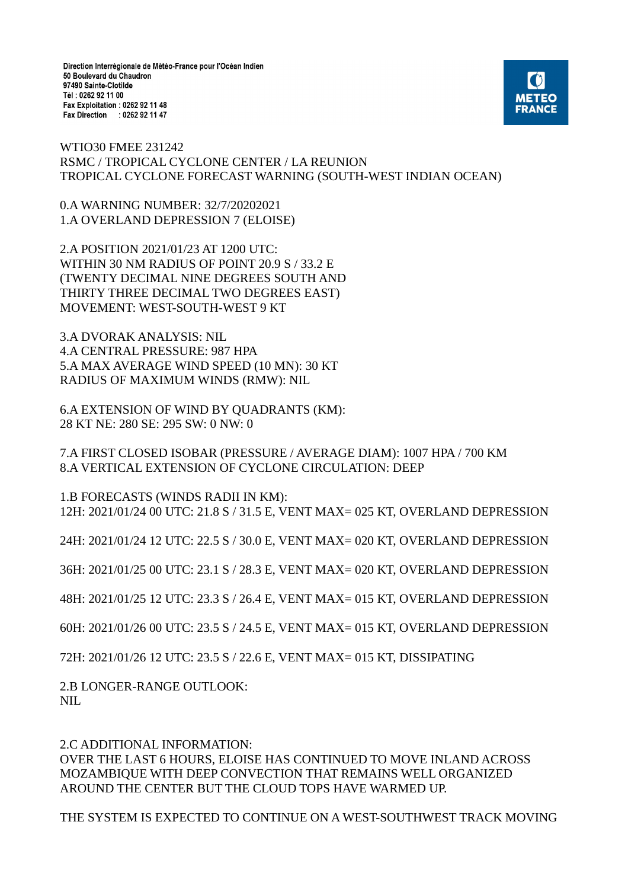Direction Interrégionale de Météo-France pour l'Océan Indien 50 Boulevard du Chaudron 97490 Sainte-Clotilde Tél: 0262 92 11 00 Fax Exploitation : 0262 92 11 48 Fax Direction : 0262 92 11 47



WTIO30 FMEE 231242 RSMC / TROPICAL CYCLONE CENTER / LA REUNION TROPICAL CYCLONE FORECAST WARNING (SOUTH-WEST INDIAN OCEAN)

0.A WARNING NUMBER: 32/7/20202021 1.A OVERLAND DEPRESSION 7 (ELOISE)

2.A POSITION 2021/01/23 AT 1200 UTC: WITHIN 30 NM RADIUS OF POINT 20.9 S / 33.2 E (TWENTY DECIMAL NINE DEGREES SOUTH AND THIRTY THREE DECIMAL TWO DEGREES EAST) MOVEMENT: WEST-SOUTH-WEST 9 KT

3.A DVORAK ANALYSIS: NIL 4.A CENTRAL PRESSURE: 987 HPA 5.A MAX AVERAGE WIND SPEED (10 MN): 30 KT RADIUS OF MAXIMUM WINDS (RMW): NIL

6.A EXTENSION OF WIND BY QUADRANTS (KM): 28 KT NE: 280 SE: 295 SW: 0 NW: 0

7.A FIRST CLOSED ISOBAR (PRESSURE / AVERAGE DIAM): 1007 HPA / 700 KM 8.A VERTICAL EXTENSION OF CYCLONE CIRCULATION: DEEP

1.B FORECASTS (WINDS RADII IN KM): 12H: 2021/01/24 00 UTC: 21.8 S / 31.5 E, VENT MAX= 025 KT, OVERLAND DEPRESSION

24H: 2021/01/24 12 UTC: 22.5 S / 30.0 E, VENT MAX= 020 KT, OVERLAND DEPRESSION

36H: 2021/01/25 00 UTC: 23.1 S / 28.3 E, VENT MAX= 020 KT, OVERLAND DEPRESSION

48H: 2021/01/25 12 UTC: 23.3 S / 26.4 E, VENT MAX= 015 KT, OVERLAND DEPRESSION

60H: 2021/01/26 00 UTC: 23.5 S / 24.5 E, VENT MAX= 015 KT, OVERLAND DEPRESSION

72H: 2021/01/26 12 UTC: 23.5 S / 22.6 E, VENT MAX= 015 KT, DISSIPATING

2.B LONGER-RANGE OUTLOOK: NII.

2.C ADDITIONAL INFORMATION: OVER THE LAST 6 HOURS, ELOISE HAS CONTINUED TO MOVE INLAND ACROSS MOZAMBIQUE WITH DEEP CONVECTION THAT REMAINS WELL ORGANIZED AROUND THE CENTER BUT THE CLOUD TOPS HAVE WARMED UP.

THE SYSTEM IS EXPECTED TO CONTINUE ON A WEST-SOUTHWEST TRACK MOVING